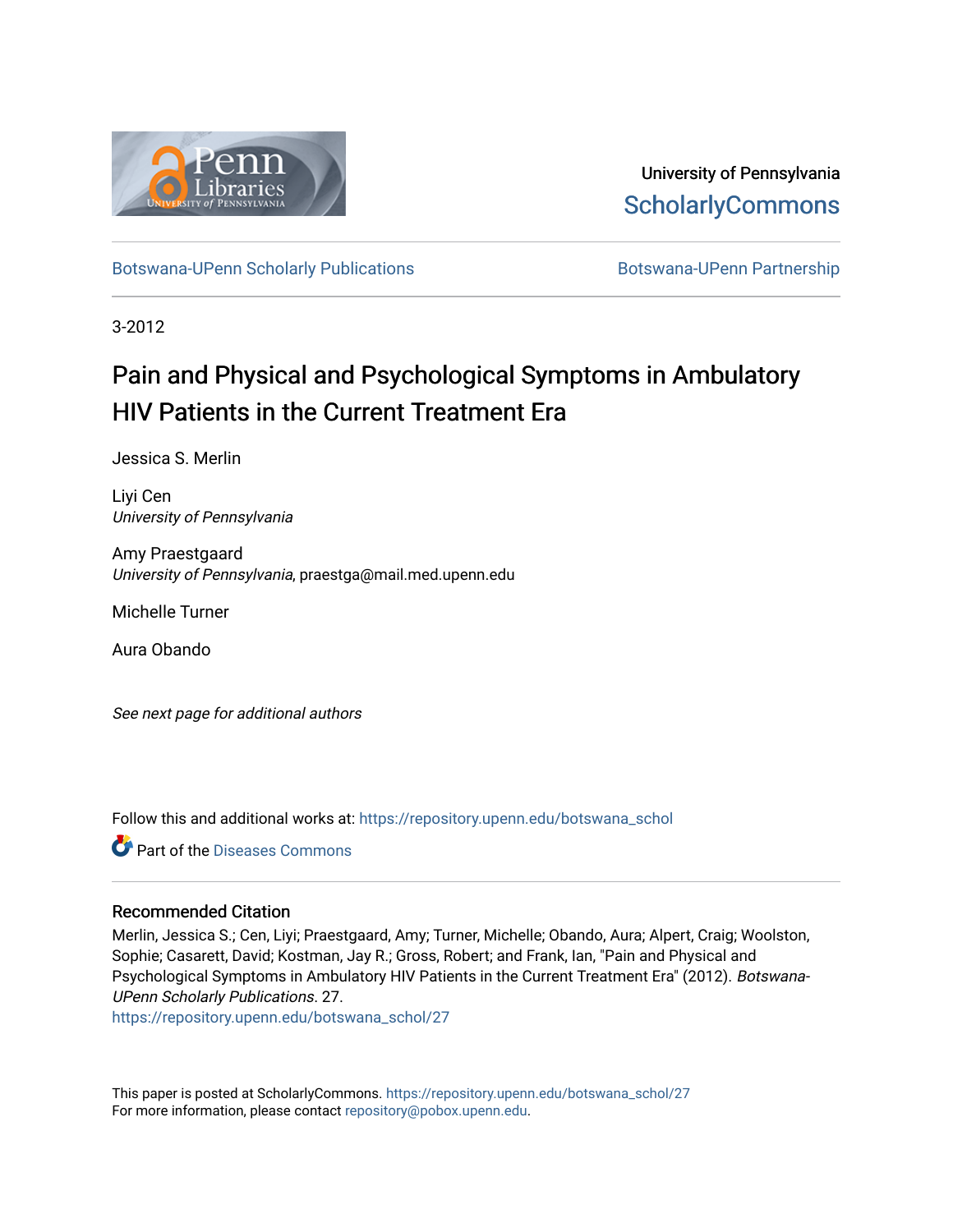

University of Pennsylvania **ScholarlyCommons** 

[Botswana-UPenn Scholarly Publications](https://repository.upenn.edu/botswana_schol) **Botswana-UPenn Partnership** 

3-2012

# Pain and Physical and Psychological Symptoms in Ambulatory HIV Patients in the Current Treatment Erat

Jessica S. Merlin

Liyi Cen University of Pennsylvania

Amy Praestgaard University of Pennsylvania, praestga@mail.med.upenn.edu

Michelle Turner

Aura Obando

See next page for additional authors

Follow this and additional works at: [https://repository.upenn.edu/botswana\\_schol](https://repository.upenn.edu/botswana_schol?utm_source=repository.upenn.edu%2Fbotswana_schol%2F27&utm_medium=PDF&utm_campaign=PDFCoverPages) 

**C** Part of the [Diseases Commons](http://network.bepress.com/hgg/discipline/813?utm_source=repository.upenn.edu%2Fbotswana_schol%2F27&utm_medium=PDF&utm_campaign=PDFCoverPages)

## Recommended Citation

Merlin, Jessica S.; Cen, Liyi; Praestgaard, Amy; Turner, Michelle; Obando, Aura; Alpert, Craig; Woolston, Sophie; Casarett, David; Kostman, Jay R.; Gross, Robert; and Frank, Ian, "Pain and Physical and Psychological Symptoms in Ambulatory HIV Patients in the Current Treatment Era" (2012). Botswana-UPenn Scholarly Publications. 27.

[https://repository.upenn.edu/botswana\\_schol/27](https://repository.upenn.edu/botswana_schol/27?utm_source=repository.upenn.edu%2Fbotswana_schol%2F27&utm_medium=PDF&utm_campaign=PDFCoverPages)

This paper is posted at ScholarlyCommons. [https://repository.upenn.edu/botswana\\_schol/27](https://repository.upenn.edu/botswana_schol/27)  For more information, please contact [repository@pobox.upenn.edu.](mailto:repository@pobox.upenn.edu)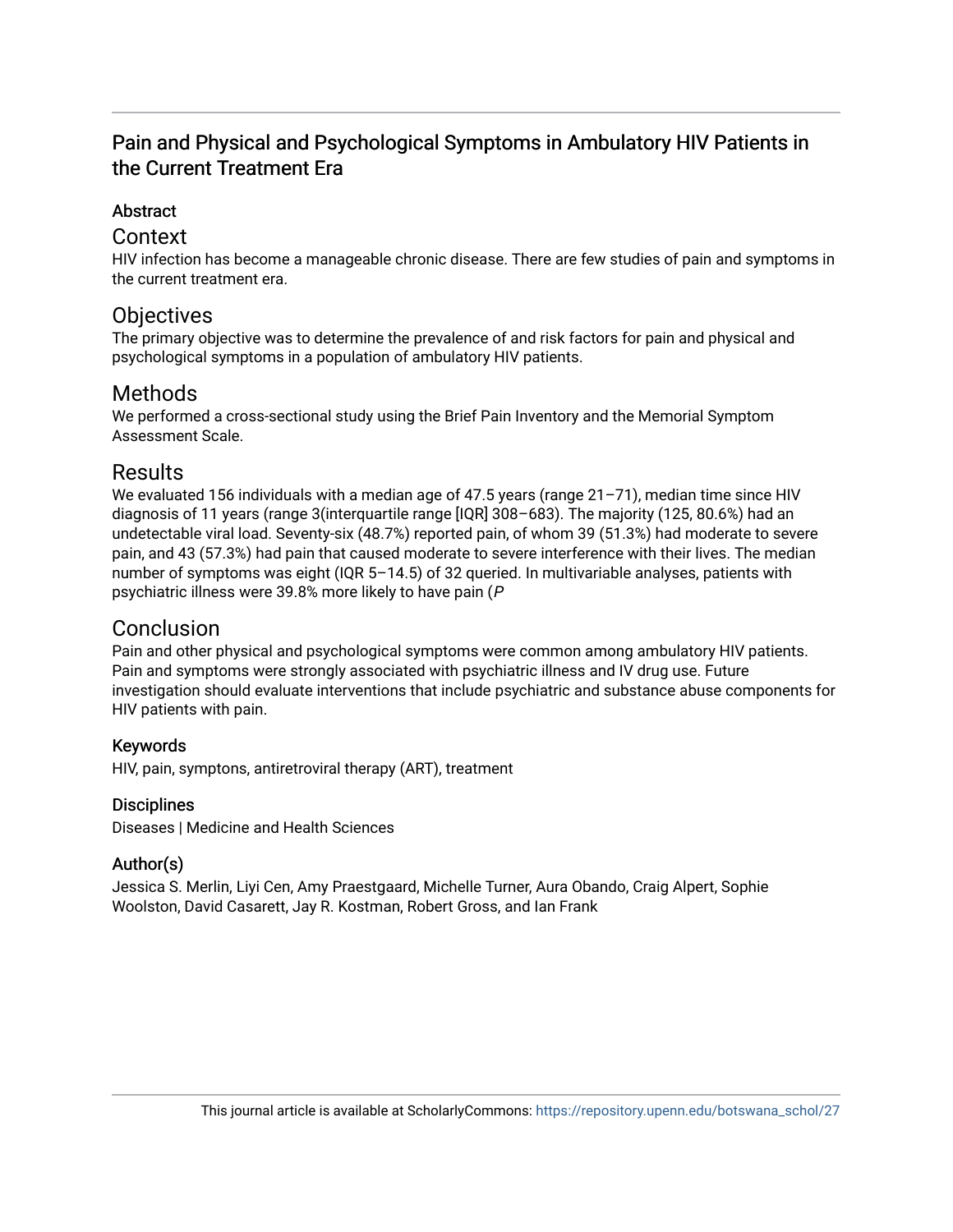## Pain and Physical and Psychological Symptoms in Ambulatory HIV Patients in the Current Treatment Era

## **Abstract**

## Context

HIV infection has become a manageable chronic disease. There are few studies of pain and symptoms in the current treatment era.

## **Objectives**

The primary objective was to determine the prevalence of and risk factors for pain and physical and psychological symptoms in a population of ambulatory HIV patients.

## Methods

We performed a cross-sectional study using the Brief Pain Inventory and the Memorial Symptom Assessment Scale.

## **Results**

We evaluated 156 individuals with a median age of 47.5 years (range 21–71), median time since HIV diagnosis of 11 years (range 3(interquartile range [IQR] 308–683). The majority (125, 80.6%) had an undetectable viral load. Seventy-six (48.7%) reported pain, of whom 39 (51.3%) had moderate to severe pain, and 43 (57.3%) had pain that caused moderate to severe interference with their lives. The median number of symptoms was eight (IQR 5–14.5) of 32 queried. In multivariable analyses, patients with psychiatric illness were 39.8% more likely to have pain (P

## **Conclusion**

Pain and other physical and psychological symptoms were common among ambulatory HIV patients. Pain and symptoms were strongly associated with psychiatric illness and IV drug use. Future investigation should evaluate interventions that include psychiatric and substance abuse components for HIV patients with pain.

## Keywords

HIV, pain, symptons, antiretroviral therapy (ART), treatment

## **Disciplines**

Diseases | Medicine and Health Sciences

## Author(s)

Jessica S. Merlin, Liyi Cen, Amy Praestgaard, Michelle Turner, Aura Obando, Craig Alpert, Sophie Woolston, David Casarett, Jay R. Kostman, Robert Gross, and Ian Frank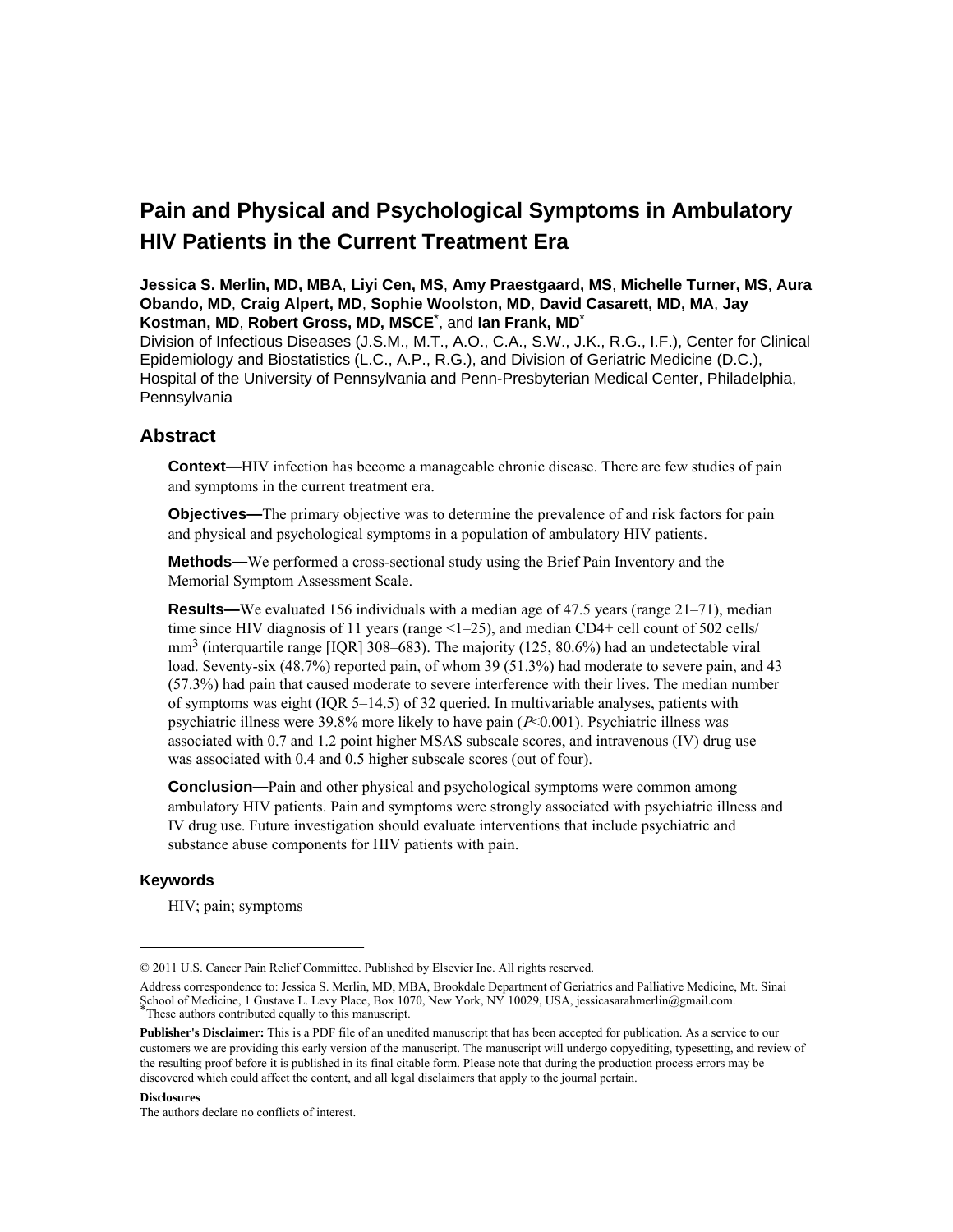## **Pain and Physical and Psychological Symptoms in Ambulatory HIV Patients in the Current Treatment Era**

**Jessica S. Merlin, MD, MBA**, **Liyi Cen, MS**, **Amy Praestgaard, MS**, **Michelle Turner, MS**, **Aura Obando, MD**, **Craig Alpert, MD**, **Sophie Woolston, MD**, **David Casarett, MD, MA**, **Jay Kostman, MD**, **Robert Gross, MD, MSCE**\* , and **Ian Frank, MD**\*

Division of Infectious Diseases (J.S.M., M.T., A.O., C.A., S.W., J.K., R.G., I.F.), Center for Clinical Epidemiology and Biostatistics (L.C., A.P., R.G.), and Division of Geriatric Medicine (D.C.), Hospital of the University of Pennsylvania and Penn-Presbyterian Medical Center, Philadelphia, Pennsylvania

## **Abstract**

**Context—HIV** infection has become a manageable chronic disease. There are few studies of pain and symptoms in the current treatment era.

**Objectives—**The primary objective was to determine the prevalence of and risk factors for pain and physical and psychological symptoms in a population of ambulatory HIV patients.

**Methods—**We performed a cross-sectional study using the Brief Pain Inventory and the Memorial Symptom Assessment Scale.

**Results—**We evaluated 156 individuals with a median age of 47.5 years (range 21–71), median time since HIV diagnosis of 11 years (range  $\leq$ 1–25), and median CD4+ cell count of 502 cells/  $mm<sup>3</sup>$  (interquartile range [IQR] 308–683). The majority (125, 80.6%) had an undetectable viral load. Seventy-six (48.7%) reported pain, of whom 39 (51.3%) had moderate to severe pain, and 43 (57.3%) had pain that caused moderate to severe interference with their lives. The median number of symptoms was eight (IQR 5–14.5) of 32 queried. In multivariable analyses, patients with psychiatric illness were 39.8% more likely to have pain  $(P< 0.001)$ . Psychiatric illness was associated with 0.7 and 1.2 point higher MSAS subscale scores, and intravenous (IV) drug use was associated with 0.4 and 0.5 higher subscale scores (out of four).

**Conclusion—**Pain and other physical and psychological symptoms were common among ambulatory HIV patients. Pain and symptoms were strongly associated with psychiatric illness and IV drug use. Future investigation should evaluate interventions that include psychiatric and substance abuse components for HIV patients with pain.

#### **Keywords**

HIV; pain; symptoms

#### **Disclosures**

The authors declare no conflicts of interest.

<sup>© 2011</sup> U.S. Cancer Pain Relief Committee. Published by Elsevier Inc. All rights reserved.

Address correspondence to: Jessica S. Merlin, MD, MBA, Brookdale Department of Geriatrics and Palliative Medicine, Mt. Sinai School of Medicine, 1 Gustave L. Levy Place, Box 1070, New York, NY 10029, USA, jessicasarahmerlin@gmail.com. \*These authors contributed equally to this manuscript.

**Publisher's Disclaimer:** This is a PDF file of an unedited manuscript that has been accepted for publication. As a service to our customers we are providing this early version of the manuscript. The manuscript will undergo copyediting, typesetting, and review of the resulting proof before it is published in its final citable form. Please note that during the production process errors may be discovered which could affect the content, and all legal disclaimers that apply to the journal pertain.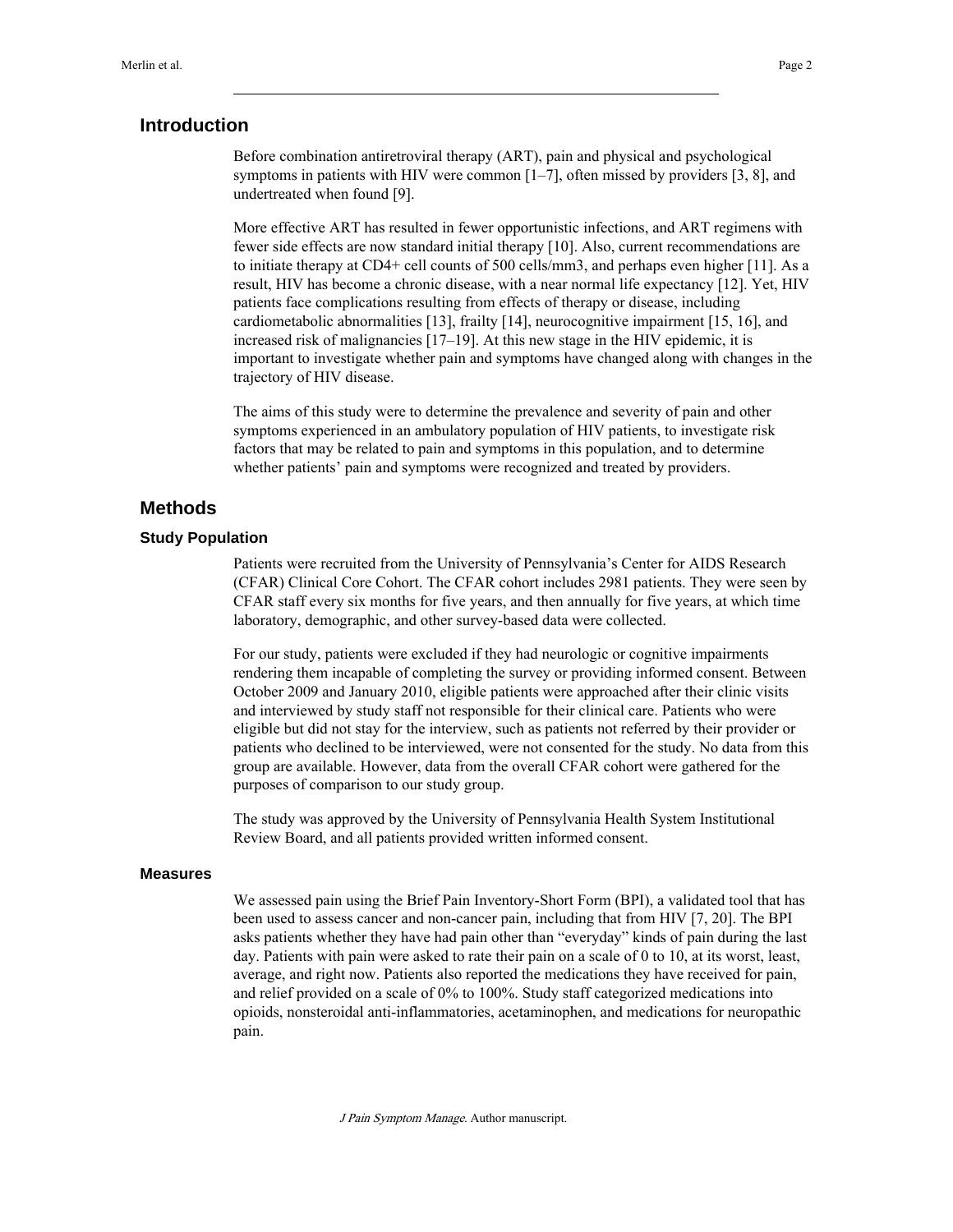## **Introduction**

Before combination antiretroviral therapy (ART), pain and physical and psychological symptoms in patients with HIV were common  $[1–7]$ , often missed by providers  $[3, 8]$ , and undertreated when found [9].

More effective ART has resulted in fewer opportunistic infections, and ART regimens with fewer side effects are now standard initial therapy [10]. Also, current recommendations are to initiate therapy at CD4+ cell counts of 500 cells/mm3, and perhaps even higher [11]. As a result, HIV has become a chronic disease, with a near normal life expectancy [12]. Yet, HIV patients face complications resulting from effects of therapy or disease, including cardiometabolic abnormalities [13], frailty [14], neurocognitive impairment [15, 16], and increased risk of malignancies [17–19]. At this new stage in the HIV epidemic, it is important to investigate whether pain and symptoms have changed along with changes in the trajectory of HIV disease.

The aims of this study were to determine the prevalence and severity of pain and other symptoms experienced in an ambulatory population of HIV patients, to investigate risk factors that may be related to pain and symptoms in this population, and to determine whether patients' pain and symptoms were recognized and treated by providers.

## **Methods**

### **Study Population**

Patients were recruited from the University of Pennsylvania's Center for AIDS Research (CFAR) Clinical Core Cohort. The CFAR cohort includes 2981 patients. They were seen by CFAR staff every six months for five years, and then annually for five years, at which time laboratory, demographic, and other survey-based data were collected.

For our study, patients were excluded if they had neurologic or cognitive impairments rendering them incapable of completing the survey or providing informed consent. Between October 2009 and January 2010, eligible patients were approached after their clinic visits and interviewed by study staff not responsible for their clinical care. Patients who were eligible but did not stay for the interview, such as patients not referred by their provider or patients who declined to be interviewed, were not consented for the study. No data from this group are available. However, data from the overall CFAR cohort were gathered for the purposes of comparison to our study group.

The study was approved by the University of Pennsylvania Health System Institutional Review Board, and all patients provided written informed consent.

#### **Measures**

We assessed pain using the Brief Pain Inventory-Short Form (BPI), a validated tool that has been used to assess cancer and non-cancer pain, including that from HIV [7, 20]. The BPI asks patients whether they have had pain other than "everyday" kinds of pain during the last day. Patients with pain were asked to rate their pain on a scale of 0 to 10, at its worst, least, average, and right now. Patients also reported the medications they have received for pain, and relief provided on a scale of 0% to 100%. Study staff categorized medications into opioids, nonsteroidal anti-inflammatories, acetaminophen, and medications for neuropathic pain.

J Pain Symptom Manage. Author manuscript.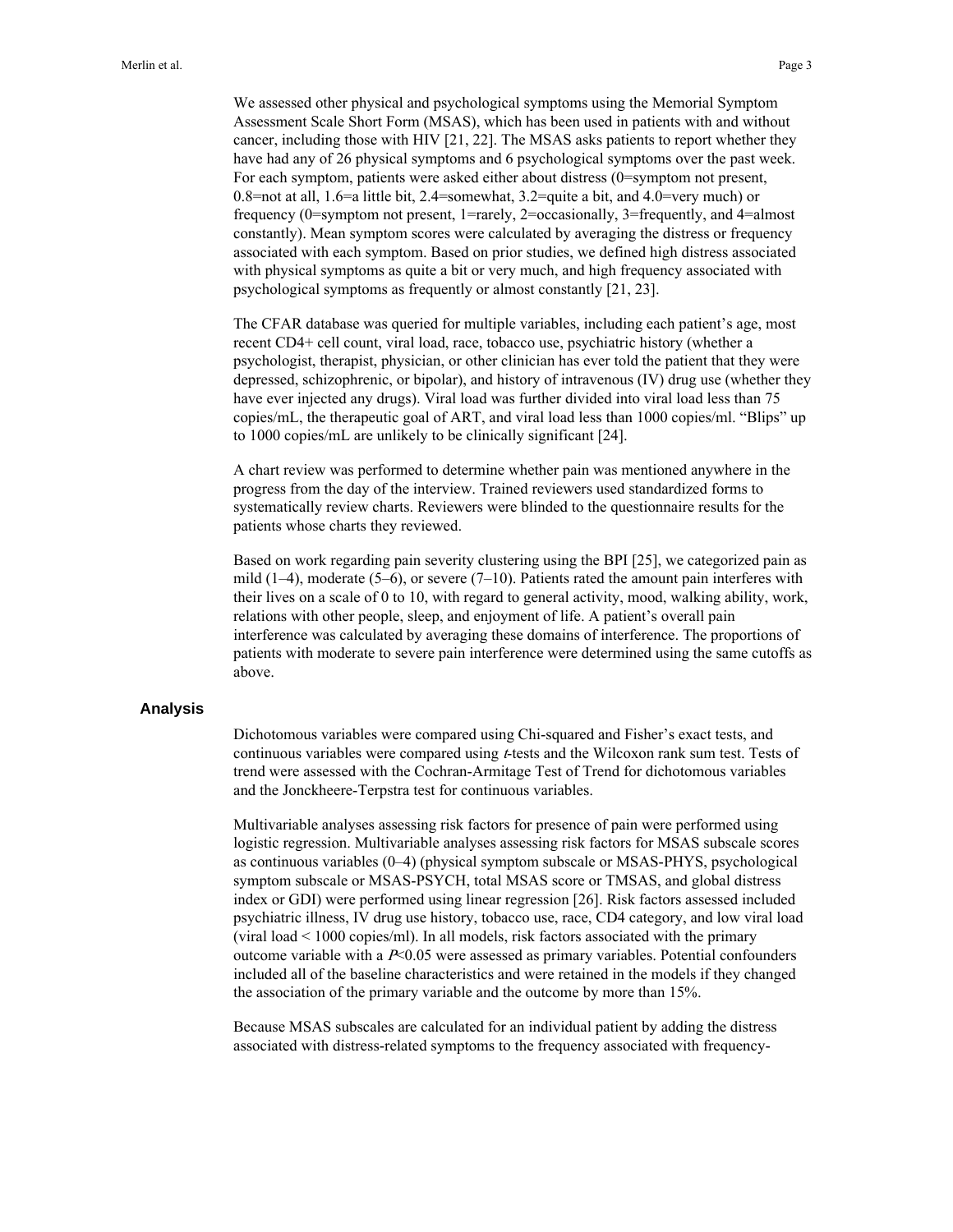We assessed other physical and psychological symptoms using the Memorial Symptom Assessment Scale Short Form (MSAS), which has been used in patients with and without cancer, including those with HIV [21, 22]. The MSAS asks patients to report whether they have had any of 26 physical symptoms and 6 psychological symptoms over the past week. For each symptom, patients were asked either about distress (0=symptom not present, 0.8=not at all, 1.6=a little bit, 2.4=somewhat, 3.2=quite a bit, and 4.0=very much) or frequency (0=symptom not present, 1=rarely, 2=occasionally, 3=frequently, and 4=almost constantly). Mean symptom scores were calculated by averaging the distress or frequency associated with each symptom. Based on prior studies, we defined high distress associated with physical symptoms as quite a bit or very much, and high frequency associated with psychological symptoms as frequently or almost constantly [21, 23].

The CFAR database was queried for multiple variables, including each patient's age, most recent CD4+ cell count, viral load, race, tobacco use, psychiatric history (whether a psychologist, therapist, physician, or other clinician has ever told the patient that they were depressed, schizophrenic, or bipolar), and history of intravenous (IV) drug use (whether they have ever injected any drugs). Viral load was further divided into viral load less than 75 copies/mL, the therapeutic goal of ART, and viral load less than 1000 copies/ml. "Blips" up to 1000 copies/mL are unlikely to be clinically significant [24].

A chart review was performed to determine whether pain was mentioned anywhere in the progress from the day of the interview. Trained reviewers used standardized forms to systematically review charts. Reviewers were blinded to the questionnaire results for the patients whose charts they reviewed.

Based on work regarding pain severity clustering using the BPI [25], we categorized pain as mild  $(1-4)$ , moderate  $(5-6)$ , or severe  $(7-10)$ . Patients rated the amount pain interferes with their lives on a scale of 0 to 10, with regard to general activity, mood, walking ability, work, relations with other people, sleep, and enjoyment of life. A patient's overall pain interference was calculated by averaging these domains of interference. The proportions of patients with moderate to severe pain interference were determined using the same cutoffs as above.

### **Analysis**

Dichotomous variables were compared using Chi-squared and Fisher's exact tests, and continuous variables were compared using *t*-tests and the Wilcoxon rank sum test. Tests of trend were assessed with the Cochran-Armitage Test of Trend for dichotomous variables and the Jonckheere-Terpstra test for continuous variables.

Multivariable analyses assessing risk factors for presence of pain were performed using logistic regression. Multivariable analyses assessing risk factors for MSAS subscale scores as continuous variables (0–4) (physical symptom subscale or MSAS-PHYS, psychological symptom subscale or MSAS-PSYCH, total MSAS score or TMSAS, and global distress index or GDI) were performed using linear regression [26]. Risk factors assessed included psychiatric illness, IV drug use history, tobacco use, race, CD4 category, and low viral load (viral load < 1000 copies/ml). In all models, risk factors associated with the primary outcome variable with a  $P<0.05$  were assessed as primary variables. Potential confounders included all of the baseline characteristics and were retained in the models if they changed the association of the primary variable and the outcome by more than 15%.

Because MSAS subscales are calculated for an individual patient by adding the distress associated with distress-related symptoms to the frequency associated with frequency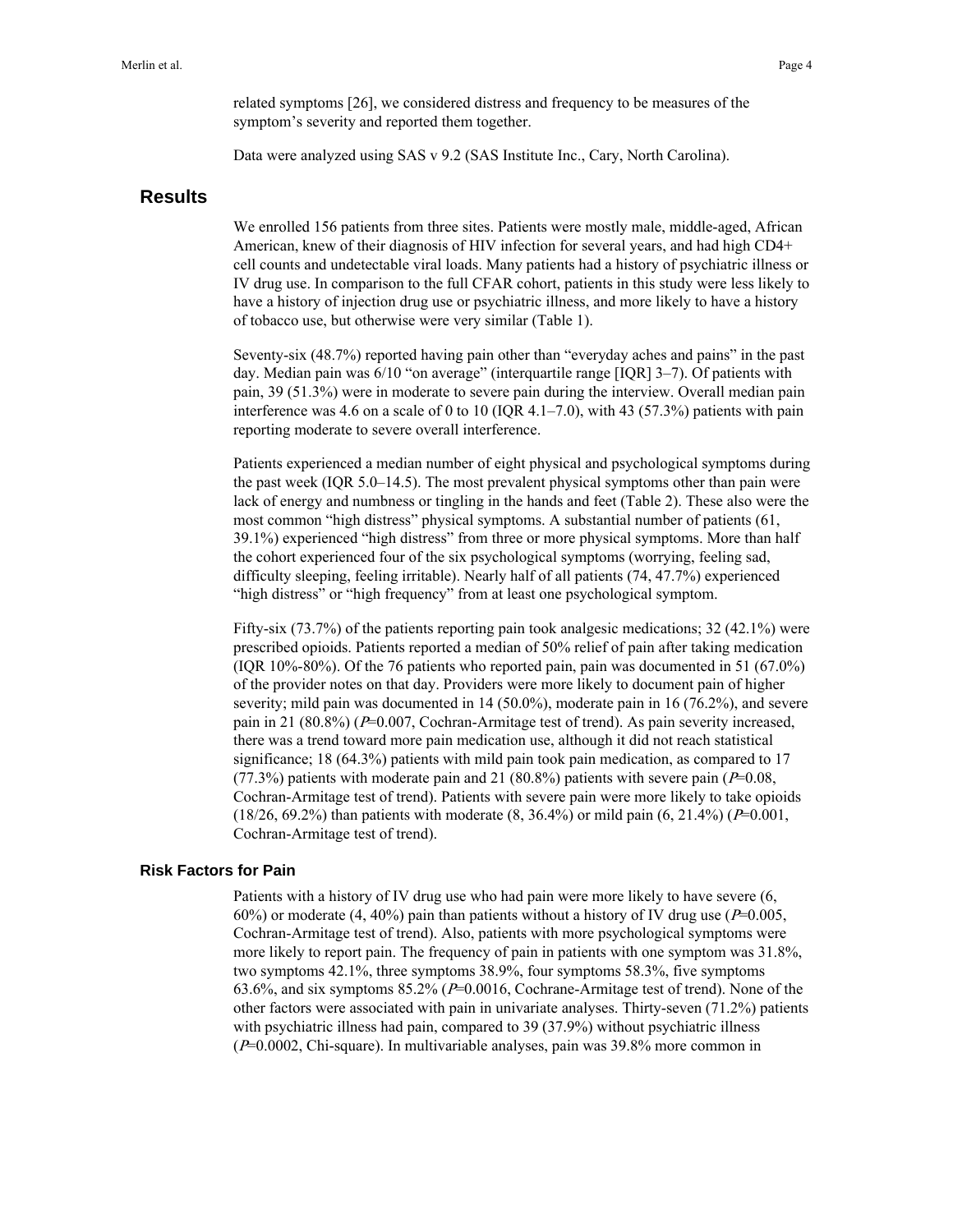related symptoms [26], we considered distress and frequency to be measures of the symptom's severity and reported them together.

Data were analyzed using SAS v 9.2 (SAS Institute Inc., Cary, North Carolina).

### **Results**

We enrolled 156 patients from three sites. Patients were mostly male, middle-aged, African American, knew of their diagnosis of HIV infection for several years, and had high CD4+ cell counts and undetectable viral loads. Many patients had a history of psychiatric illness or IV drug use. In comparison to the full CFAR cohort, patients in this study were less likely to have a history of injection drug use or psychiatric illness, and more likely to have a history of tobacco use, but otherwise were very similar (Table 1).

Seventy-six (48.7%) reported having pain other than "everyday aches and pains" in the past day. Median pain was 6/10 "on average" (interquartile range [IQR] 3–7). Of patients with pain, 39 (51.3%) were in moderate to severe pain during the interview. Overall median pain interference was 4.6 on a scale of 0 to 10 (IQR 4.1–7.0), with 43 (57.3%) patients with pain reporting moderate to severe overall interference.

Patients experienced a median number of eight physical and psychological symptoms during the past week (IQR 5.0–14.5). The most prevalent physical symptoms other than pain were lack of energy and numbness or tingling in the hands and feet (Table 2). These also were the most common "high distress" physical symptoms. A substantial number of patients (61, 39.1%) experienced "high distress" from three or more physical symptoms. More than half the cohort experienced four of the six psychological symptoms (worrying, feeling sad, difficulty sleeping, feeling irritable). Nearly half of all patients (74, 47.7%) experienced "high distress" or "high frequency" from at least one psychological symptom.

Fifty-six (73.7%) of the patients reporting pain took analgesic medications; 32 (42.1%) were prescribed opioids. Patients reported a median of 50% relief of pain after taking medication (IQR 10%-80%). Of the 76 patients who reported pain, pain was documented in 51 (67.0%) of the provider notes on that day. Providers were more likely to document pain of higher severity; mild pain was documented in 14 (50.0%), moderate pain in 16 (76.2%), and severe pain in 21 (80.8%) ( $P=0.007$ , Cochran-Armitage test of trend). As pain severity increased, there was a trend toward more pain medication use, although it did not reach statistical significance; 18 (64.3%) patients with mild pain took pain medication, as compared to 17 (77.3%) patients with moderate pain and 21 (80.8%) patients with severe pain ( $P=0.08$ , Cochran-Armitage test of trend). Patients with severe pain were more likely to take opioids  $(18/26, 69.2\%)$  than patients with moderate  $(8, 36.4\%)$  or mild pain  $(6, 21.4\%)$  ( $P=0.001$ , Cochran-Armitage test of trend).

#### **Risk Factors for Pain**

Patients with a history of IV drug use who had pain were more likely to have severe (6, 60%) or moderate (4, 40%) pain than patients without a history of IV drug use ( $P=0.005$ , Cochran-Armitage test of trend). Also, patients with more psychological symptoms were more likely to report pain. The frequency of pain in patients with one symptom was 31.8%, two symptoms 42.1%, three symptoms 38.9%, four symptoms 58.3%, five symptoms 63.6%, and six symptoms  $85.2\%$  ( $P=0.0016$ , Cochrane-Armitage test of trend). None of the other factors were associated with pain in univariate analyses. Thirty-seven (71.2%) patients with psychiatric illness had pain, compared to 39 (37.9%) without psychiatric illness (P=0.0002, Chi-square). In multivariable analyses, pain was 39.8% more common in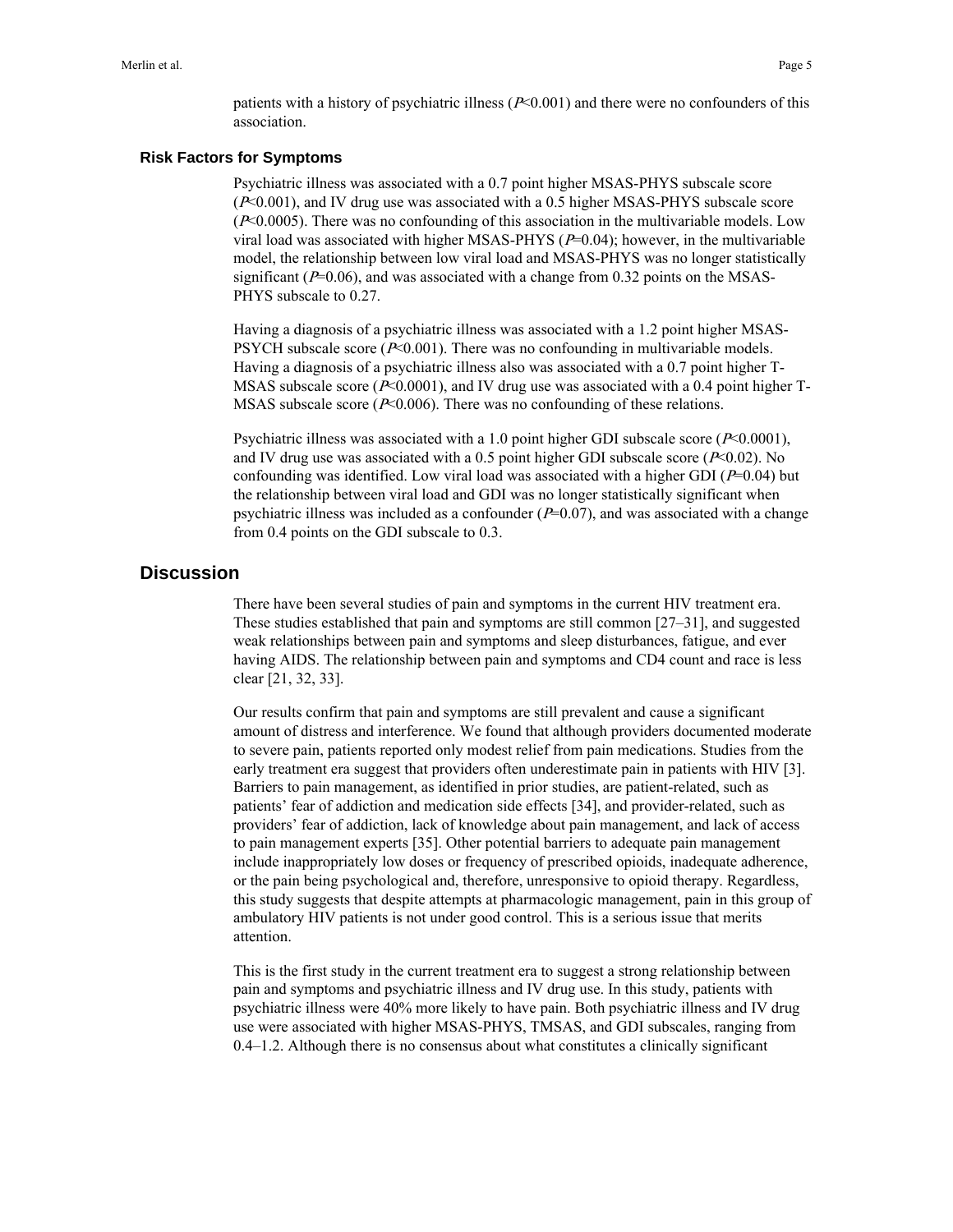patients with a history of psychiatric illness  $(P< 0.001)$  and there were no confounders of this association.

### **Risk Factors for Symptoms**

Psychiatric illness was associated with a 0.7 point higher MSAS-PHYS subscale score (P<0.001), and IV drug use was associated with a 0.5 higher MSAS-PHYS subscale score  $(P<0.0005)$ . There was no confounding of this association in the multivariable models. Low viral load was associated with higher MSAS-PHYS  $(P=0.04)$ ; however, in the multivariable model, the relationship between low viral load and MSAS-PHYS was no longer statistically significant ( $P=0.06$ ), and was associated with a change from 0.32 points on the MSAS-PHYS subscale to 0.27.

Having a diagnosis of a psychiatric illness was associated with a 1.2 point higher MSAS-PSYCH subscale score  $(P< 0.001)$ . There was no confounding in multivariable models. Having a diagnosis of a psychiatric illness also was associated with a 0.7 point higher T-MSAS subscale score ( $P<0.0001$ ), and IV drug use was associated with a 0.4 point higher T-MSAS subscale score ( $P<0.006$ ). There was no confounding of these relations.

Psychiatric illness was associated with a 1.0 point higher GDI subscale score  $(P< 0.0001)$ , and IV drug use was associated with a 0.5 point higher GDI subscale score ( $P<0.02$ ). No confounding was identified. Low viral load was associated with a higher GDI ( $P=0.04$ ) but the relationship between viral load and GDI was no longer statistically significant when psychiatric illness was included as a confounder  $(P=0.07)$ , and was associated with a change from 0.4 points on the GDI subscale to 0.3.

## **Discussion**

There have been several studies of pain and symptoms in the current HIV treatment era. These studies established that pain and symptoms are still common [27–31], and suggested weak relationships between pain and symptoms and sleep disturbances, fatigue, and ever having AIDS. The relationship between pain and symptoms and CD4 count and race is less clear [21, 32, 33].

Our results confirm that pain and symptoms are still prevalent and cause a significant amount of distress and interference. We found that although providers documented moderate to severe pain, patients reported only modest relief from pain medications. Studies from the early treatment era suggest that providers often underestimate pain in patients with HIV [3]. Barriers to pain management, as identified in prior studies, are patient-related, such as patients' fear of addiction and medication side effects [34], and provider-related, such as providers' fear of addiction, lack of knowledge about pain management, and lack of access to pain management experts [35]. Other potential barriers to adequate pain management include inappropriately low doses or frequency of prescribed opioids, inadequate adherence, or the pain being psychological and, therefore, unresponsive to opioid therapy. Regardless, this study suggests that despite attempts at pharmacologic management, pain in this group of ambulatory HIV patients is not under good control. This is a serious issue that merits attention.

This is the first study in the current treatment era to suggest a strong relationship between pain and symptoms and psychiatric illness and IV drug use. In this study, patients with psychiatric illness were 40% more likely to have pain. Both psychiatric illness and IV drug use were associated with higher MSAS-PHYS, TMSAS, and GDI subscales, ranging from 0.4–1.2. Although there is no consensus about what constitutes a clinically significant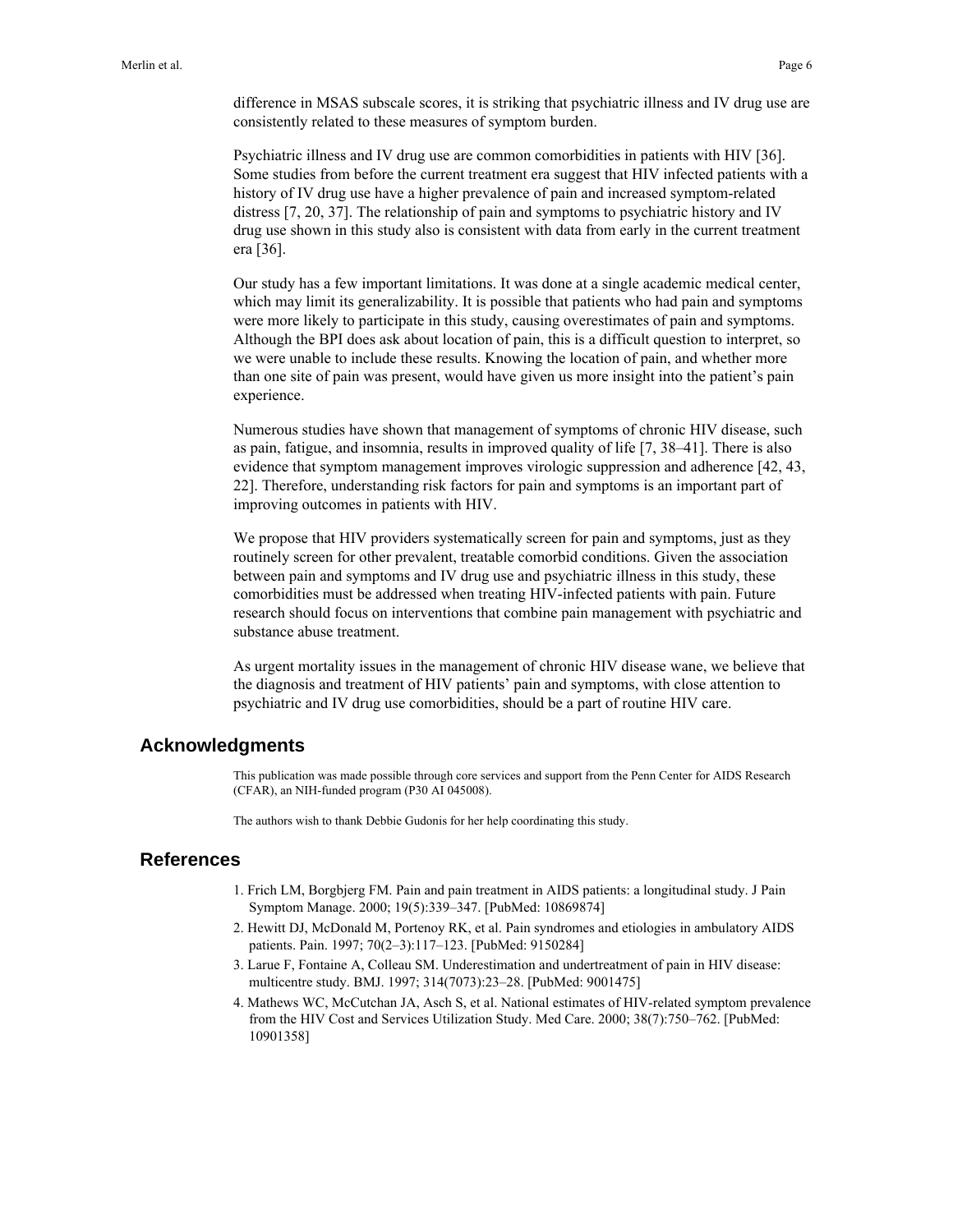difference in MSAS subscale scores, it is striking that psychiatric illness and IV drug use are consistently related to these measures of symptom burden.

Psychiatric illness and IV drug use are common comorbidities in patients with HIV [36]. Some studies from before the current treatment era suggest that HIV infected patients with a history of IV drug use have a higher prevalence of pain and increased symptom-related distress [7, 20, 37]. The relationship of pain and symptoms to psychiatric history and IV drug use shown in this study also is consistent with data from early in the current treatment era [36].

Our study has a few important limitations. It was done at a single academic medical center, which may limit its generalizability. It is possible that patients who had pain and symptoms were more likely to participate in this study, causing overestimates of pain and symptoms. Although the BPI does ask about location of pain, this is a difficult question to interpret, so we were unable to include these results. Knowing the location of pain, and whether more than one site of pain was present, would have given us more insight into the patient's pain experience.

Numerous studies have shown that management of symptoms of chronic HIV disease, such as pain, fatigue, and insomnia, results in improved quality of life [7, 38–41]. There is also evidence that symptom management improves virologic suppression and adherence [42, 43, 22]. Therefore, understanding risk factors for pain and symptoms is an important part of improving outcomes in patients with HIV.

We propose that HIV providers systematically screen for pain and symptoms, just as they routinely screen for other prevalent, treatable comorbid conditions. Given the association between pain and symptoms and IV drug use and psychiatric illness in this study, these comorbidities must be addressed when treating HIV-infected patients with pain. Future research should focus on interventions that combine pain management with psychiatric and substance abuse treatment.

As urgent mortality issues in the management of chronic HIV disease wane, we believe that the diagnosis and treatment of HIV patients' pain and symptoms, with close attention to psychiatric and IV drug use comorbidities, should be a part of routine HIV care.

### **Acknowledgments**

This publication was made possible through core services and support from the Penn Center for AIDS Research (CFAR), an NIH-funded program (P30 AI 045008).

The authors wish to thank Debbie Gudonis for her help coordinating this study.

## **References**

- 1. Frich LM, Borgbjerg FM. Pain and pain treatment in AIDS patients: a longitudinal study. J Pain Symptom Manage. 2000; 19(5):339–347. [PubMed: 10869874]
- 2. Hewitt DJ, McDonald M, Portenoy RK, et al. Pain syndromes and etiologies in ambulatory AIDS patients. Pain. 1997; 70(2–3):117–123. [PubMed: 9150284]
- 3. Larue F, Fontaine A, Colleau SM. Underestimation and undertreatment of pain in HIV disease: multicentre study. BMJ. 1997; 314(7073):23–28. [PubMed: 9001475]
- 4. Mathews WC, McCutchan JA, Asch S, et al. National estimates of HIV-related symptom prevalence from the HIV Cost and Services Utilization Study. Med Care. 2000; 38(7):750–762. [PubMed: 10901358]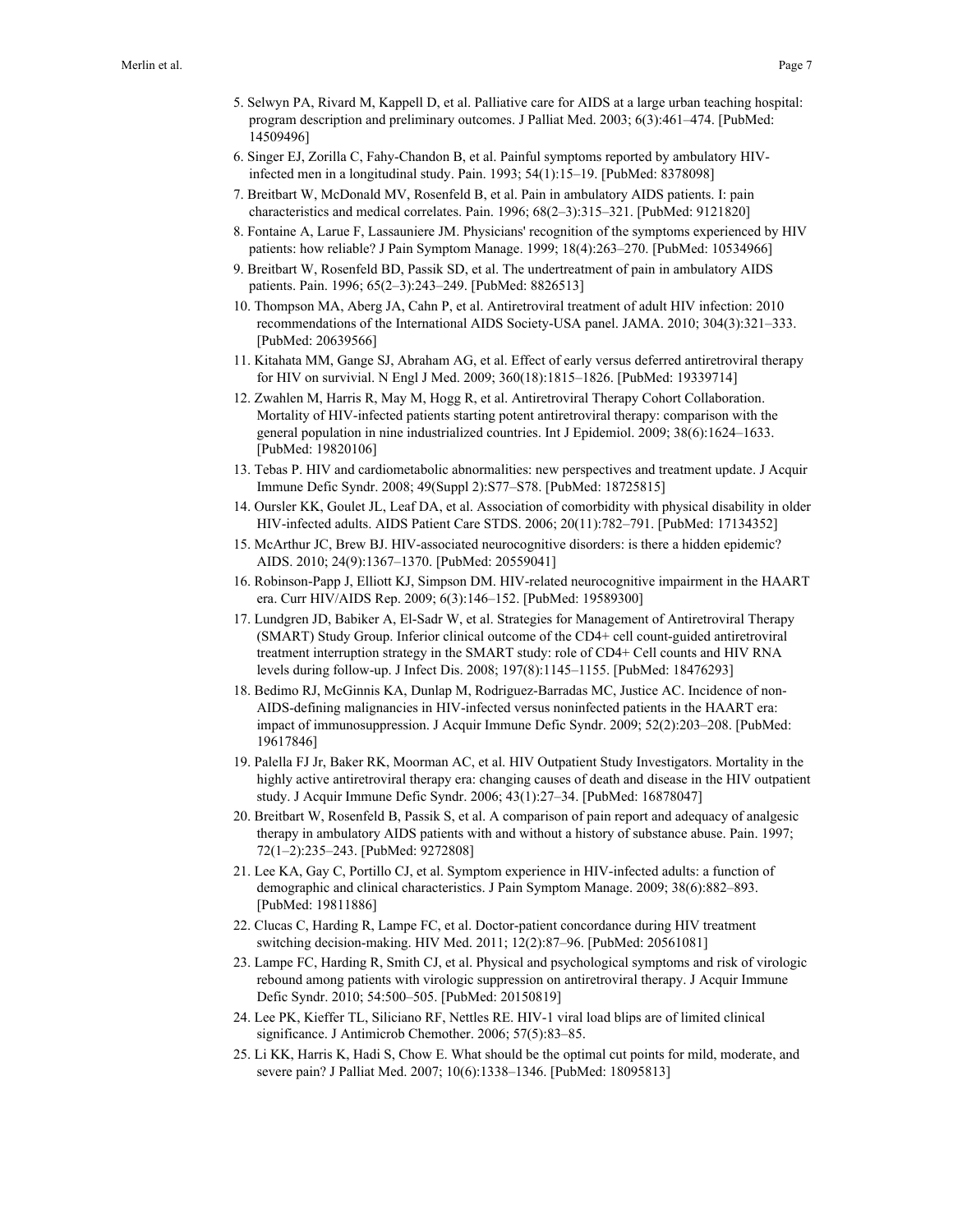- 5. Selwyn PA, Rivard M, Kappell D, et al. Palliative care for AIDS at a large urban teaching hospital: program description and preliminary outcomes. J Palliat Med. 2003; 6(3):461–474. [PubMed: 14509496]
- 6. Singer EJ, Zorilla C, Fahy-Chandon B, et al. Painful symptoms reported by ambulatory HIVinfected men in a longitudinal study. Pain. 1993; 54(1):15–19. [PubMed: 8378098]
- 7. Breitbart W, McDonald MV, Rosenfeld B, et al. Pain in ambulatory AIDS patients. I: pain characteristics and medical correlates. Pain. 1996; 68(2–3):315–321. [PubMed: 9121820]
- 8. Fontaine A, Larue F, Lassauniere JM. Physicians' recognition of the symptoms experienced by HIV patients: how reliable? J Pain Symptom Manage. 1999; 18(4):263–270. [PubMed: 10534966]
- 9. Breitbart W, Rosenfeld BD, Passik SD, et al. The undertreatment of pain in ambulatory AIDS patients. Pain. 1996; 65(2–3):243–249. [PubMed: 8826513]
- 10. Thompson MA, Aberg JA, Cahn P, et al. Antiretroviral treatment of adult HIV infection: 2010 recommendations of the International AIDS Society-USA panel. JAMA. 2010; 304(3):321–333. [PubMed: 20639566]
- 11. Kitahata MM, Gange SJ, Abraham AG, et al. Effect of early versus deferred antiretroviral therapy for HIV on survivial. N Engl J Med. 2009; 360(18):1815–1826. [PubMed: 19339714]
- 12. Zwahlen M, Harris R, May M, Hogg R, et al. Antiretroviral Therapy Cohort Collaboration. Mortality of HIV-infected patients starting potent antiretroviral therapy: comparison with the general population in nine industrialized countries. Int J Epidemiol. 2009; 38(6):1624–1633. [PubMed: 19820106]
- 13. Tebas P. HIV and cardiometabolic abnormalities: new perspectives and treatment update. J Acquir Immune Defic Syndr. 2008; 49(Suppl 2):S77–S78. [PubMed: 18725815]
- 14. Oursler KK, Goulet JL, Leaf DA, et al. Association of comorbidity with physical disability in older HIV-infected adults. AIDS Patient Care STDS. 2006; 20(11):782–791. [PubMed: 17134352]
- 15. McArthur JC, Brew BJ. HIV-associated neurocognitive disorders: is there a hidden epidemic? AIDS. 2010; 24(9):1367–1370. [PubMed: 20559041]
- 16. Robinson-Papp J, Elliott KJ, Simpson DM. HIV-related neurocognitive impairment in the HAART era. Curr HIV/AIDS Rep. 2009; 6(3):146–152. [PubMed: 19589300]
- 17. Lundgren JD, Babiker A, El-Sadr W, et al. Strategies for Management of Antiretroviral Therapy (SMART) Study Group. Inferior clinical outcome of the CD4+ cell count-guided antiretroviral treatment interruption strategy in the SMART study: role of CD4+ Cell counts and HIV RNA levels during follow-up. J Infect Dis. 2008; 197(8):1145–1155. [PubMed: 18476293]
- 18. Bedimo RJ, McGinnis KA, Dunlap M, Rodriguez-Barradas MC, Justice AC. Incidence of non-AIDS-defining malignancies in HIV-infected versus noninfected patients in the HAART era: impact of immunosuppression. J Acquir Immune Defic Syndr. 2009; 52(2):203–208. [PubMed: 19617846]
- 19. Palella FJ Jr, Baker RK, Moorman AC, et al. HIV Outpatient Study Investigators. Mortality in the highly active antiretroviral therapy era: changing causes of death and disease in the HIV outpatient study. J Acquir Immune Defic Syndr. 2006; 43(1):27–34. [PubMed: 16878047]
- 20. Breitbart W, Rosenfeld B, Passik S, et al. A comparison of pain report and adequacy of analgesic therapy in ambulatory AIDS patients with and without a history of substance abuse. Pain. 1997; 72(1–2):235–243. [PubMed: 9272808]
- 21. Lee KA, Gay C, Portillo CJ, et al. Symptom experience in HIV-infected adults: a function of demographic and clinical characteristics. J Pain Symptom Manage. 2009; 38(6):882–893. [PubMed: 19811886]
- 22. Clucas C, Harding R, Lampe FC, et al. Doctor-patient concordance during HIV treatment switching decision-making. HIV Med. 2011; 12(2):87–96. [PubMed: 20561081]
- 23. Lampe FC, Harding R, Smith CJ, et al. Physical and psychological symptoms and risk of virologic rebound among patients with virologic suppression on antiretroviral therapy. J Acquir Immune Defic Syndr. 2010; 54:500–505. [PubMed: 20150819]
- 24. Lee PK, Kieffer TL, Siliciano RF, Nettles RE. HIV-1 viral load blips are of limited clinical significance. J Antimicrob Chemother. 2006; 57(5):83–85.
- 25. Li KK, Harris K, Hadi S, Chow E. What should be the optimal cut points for mild, moderate, and severe pain? J Palliat Med. 2007; 10(6):1338–1346. [PubMed: 18095813]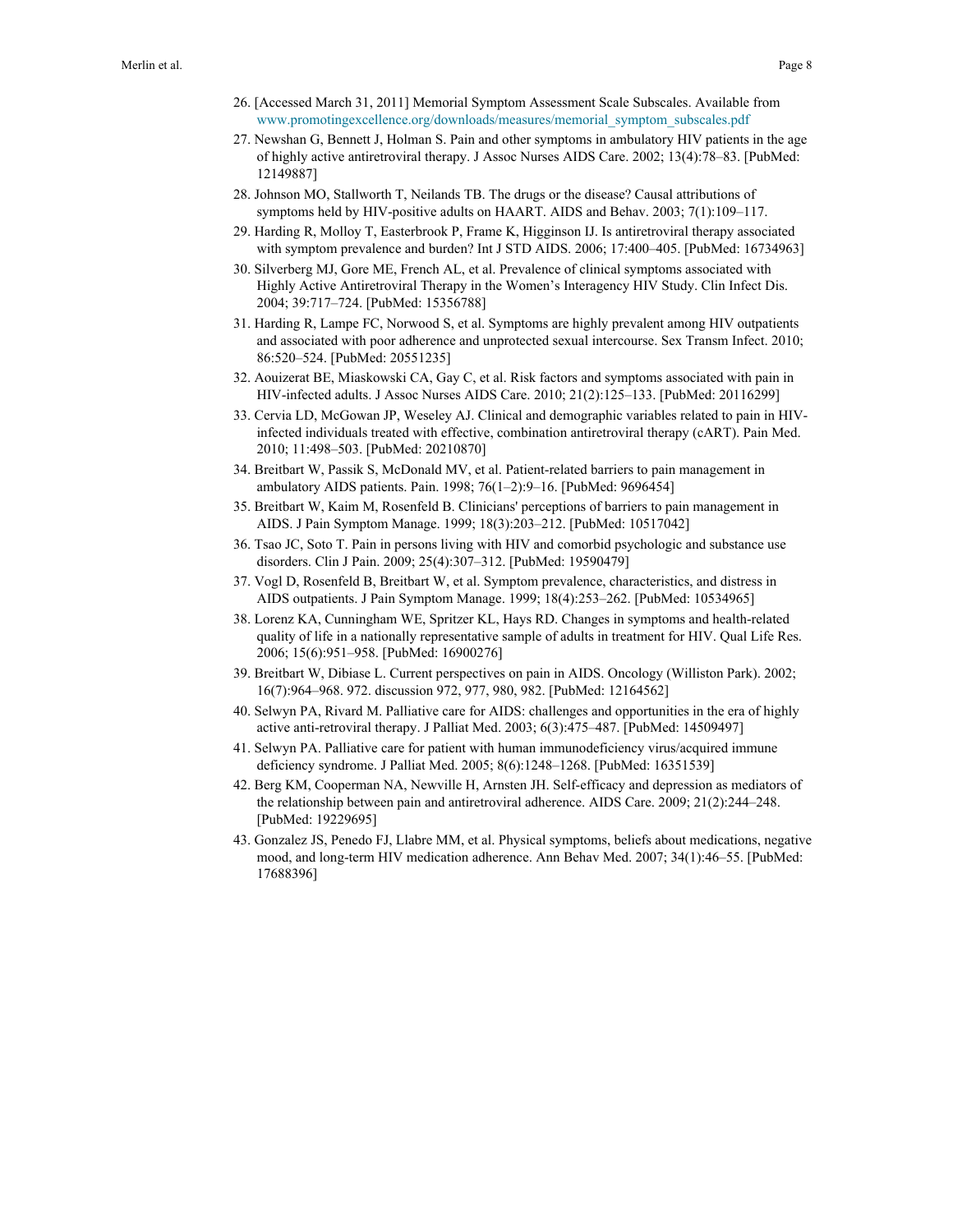- 26. [Accessed March 31, 2011] Memorial Symptom Assessment Scale Subscales. Available from [www.promotingexcellence.org/downloads/measures/memorial\\_symptom\\_subscales.pdf](http://www.promotingexcellence.org/downloads/measures/memorial_symptom_subscales.pdf)
- 27. Newshan G, Bennett J, Holman S. Pain and other symptoms in ambulatory HIV patients in the age of highly active antiretroviral therapy. J Assoc Nurses AIDS Care. 2002; 13(4):78–83. [PubMed: 12149887]
- 28. Johnson MO, Stallworth T, Neilands TB. The drugs or the disease? Causal attributions of symptoms held by HIV-positive adults on HAART. AIDS and Behav. 2003; 7(1):109–117.
- 29. Harding R, Molloy T, Easterbrook P, Frame K, Higginson IJ. Is antiretroviral therapy associated with symptom prevalence and burden? Int J STD AIDS. 2006; 17:400–405. [PubMed: 16734963]
- 30. Silverberg MJ, Gore ME, French AL, et al. Prevalence of clinical symptoms associated with Highly Active Antiretroviral Therapy in the Women's Interagency HIV Study. Clin Infect Dis. 2004; 39:717–724. [PubMed: 15356788]
- 31. Harding R, Lampe FC, Norwood S, et al. Symptoms are highly prevalent among HIV outpatients and associated with poor adherence and unprotected sexual intercourse. Sex Transm Infect. 2010; 86:520–524. [PubMed: 20551235]
- 32. Aouizerat BE, Miaskowski CA, Gay C, et al. Risk factors and symptoms associated with pain in HIV-infected adults. J Assoc Nurses AIDS Care. 2010; 21(2):125–133. [PubMed: 20116299]
- 33. Cervia LD, McGowan JP, Weseley AJ. Clinical and demographic variables related to pain in HIVinfected individuals treated with effective, combination antiretroviral therapy (cART). Pain Med. 2010; 11:498–503. [PubMed: 20210870]
- 34. Breitbart W, Passik S, McDonald MV, et al. Patient-related barriers to pain management in ambulatory AIDS patients. Pain. 1998; 76(1–2):9–16. [PubMed: 9696454]
- 35. Breitbart W, Kaim M, Rosenfeld B. Clinicians' perceptions of barriers to pain management in AIDS. J Pain Symptom Manage. 1999; 18(3):203–212. [PubMed: 10517042]
- 36. Tsao JC, Soto T. Pain in persons living with HIV and comorbid psychologic and substance use disorders. Clin J Pain. 2009; 25(4):307–312. [PubMed: 19590479]
- 37. Vogl D, Rosenfeld B, Breitbart W, et al. Symptom prevalence, characteristics, and distress in AIDS outpatients. J Pain Symptom Manage. 1999; 18(4):253–262. [PubMed: 10534965]
- 38. Lorenz KA, Cunningham WE, Spritzer KL, Hays RD. Changes in symptoms and health-related quality of life in a nationally representative sample of adults in treatment for HIV. Qual Life Res. 2006; 15(6):951–958. [PubMed: 16900276]
- 39. Breitbart W, Dibiase L. Current perspectives on pain in AIDS. Oncology (Williston Park). 2002; 16(7):964–968. 972. discussion 972, 977, 980, 982. [PubMed: 12164562]
- 40. Selwyn PA, Rivard M. Palliative care for AIDS: challenges and opportunities in the era of highly active anti-retroviral therapy. J Palliat Med. 2003; 6(3):475–487. [PubMed: 14509497]
- 41. Selwyn PA. Palliative care for patient with human immunodeficiency virus/acquired immune deficiency syndrome. J Palliat Med. 2005; 8(6):1248–1268. [PubMed: 16351539]
- 42. Berg KM, Cooperman NA, Newville H, Arnsten JH. Self-efficacy and depression as mediators of the relationship between pain and antiretroviral adherence. AIDS Care. 2009; 21(2):244–248. [PubMed: 19229695]
- 43. Gonzalez JS, Penedo FJ, Llabre MM, et al. Physical symptoms, beliefs about medications, negative mood, and long-term HIV medication adherence. Ann Behav Med. 2007; 34(1):46–55. [PubMed: 17688396]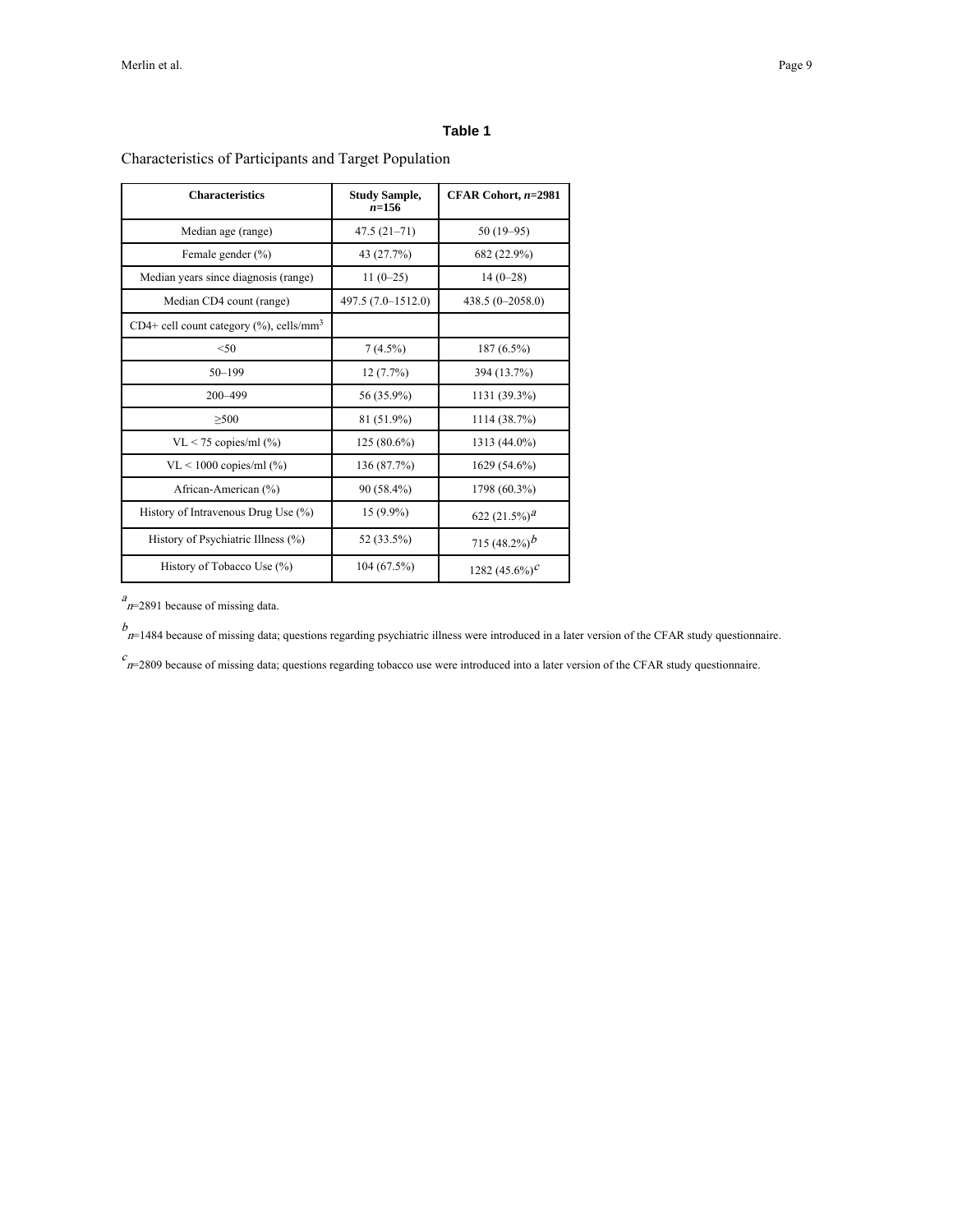### **Table 1**

Characteristics of Participants and Target Population

| <b>Characteristics</b>                                  | <b>Study Sample,</b><br>n=156 | CFAR Cohort, $n=2981$         |
|---------------------------------------------------------|-------------------------------|-------------------------------|
| Median age (range)                                      | $47.5(21-71)$                 | $50(19-95)$                   |
| Female gender $(\% )$                                   | 43 (27.7%)                    | 682 (22.9%)                   |
| Median years since diagnosis (range)                    | $11(0-25)$                    | $14(0-28)$                    |
| Median CD4 count (range)                                | 497.5 (7.0-1512.0)            | $438.5(0-2058.0)$             |
| CD4+ cell count category $(\%)$ , cells/mm <sup>3</sup> |                               |                               |
| < 50                                                    | $7(4.5\%)$                    | $187(6.5\%)$                  |
| $50 - 199$                                              | 12(7.7%)                      | 394 (13.7%)                   |
| 200-499                                                 | 56 (35.9%)                    | 1131 (39.3%)                  |
| >500                                                    | 81 (51.9%)                    | 1114 (38.7%)                  |
| $VL < 75$ copies/ml $(\% )$                             | $125(80.6\%)$                 | 1313 (44.0%)                  |
| $VL < 1000$ copies/ml $(\% )$                           | 136 (87.7%)                   | 1629 (54.6%)                  |
| African-American (%)                                    | 90 (58.4%)                    | 1798 (60.3%)                  |
| History of Intravenous Drug Use (%)                     | $15(9.9\%)$                   | 622 $(21.5\%)^2$              |
| History of Psychiatric Illness (%)                      | 52 (33.5%)                    | 715 $(48.2\%)$ <sup>b</sup>   |
| History of Tobacco Use $(\%)$                           | 104 (67.5%)                   | 1282 $(45.6\%)^{\mathcal{C}}$ |

 $a_{n=2891}$  because of missing data.

 $b$ <br> $n=1484$  because of missing data; questions regarding psychiatric illness were introduced in a later version of the CFAR study questionnaire.

 $c_{B=2809}$  because of missing data; questions regarding tobacco use were introduced into a later version of the CFAR study questionnaire.